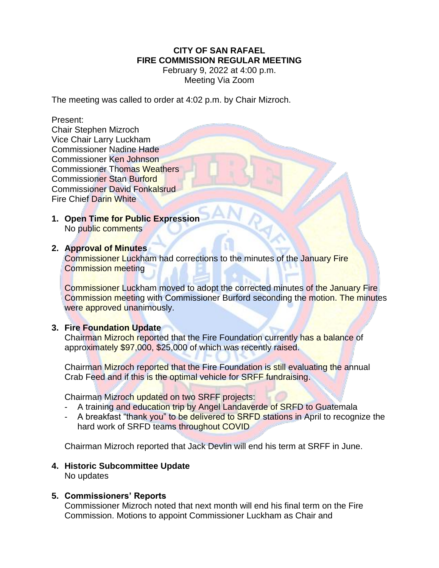# **CITY OF SAN RAFAEL FIRE COMMISSION REGULAR MEETING**

February 9, 2022 at 4:00 p.m. Meeting Via Zoom

The meeting was called to order at 4:02 p.m. by Chair Mizroch.

#### Present:

Chair Stephen Mizroch Vice Chair Larry Luckham Commissioner Nadine Hade Commissioner Ken Johnson Commissioner Thomas Weathers Commissioner Stan Burford Commissioner David Fonkalsrud Fire Chief Darin White

**1. Open Time for Public Expression** No public comments

#### **2. Approval of Minutes**

Commissioner Luckham had corrections to the minutes of the January Fire Commission meeting

Commissioner Luckham moved to adopt the corrected minutes of the January Fire Commission meeting with Commissioner Burford seconding the motion. The minutes were approved unanimously.

### **3. Fire Foundation Update**

Chairman Mizroch reported that the Fire Foundation currently has a balance of approximately \$97,000, \$25,000 of which was recently raised.

Chairman Mizroch reported that the Fire Foundation is still evaluating the annual Crab Feed and if this is the optimal vehicle for SRFF fundraising.

Chairman Mizroch updated on two SRFF projects:

- A training and education trip by Angel Landaverde of SRFD to Guatemala
- A breakfast "thank you" to be delivered to SRFD stations in April to recognize the hard work of SRFD teams throughout COVID

Chairman Mizroch reported that Jack Devlin will end his term at SRFF in June.

# **4. Historic Subcommittee Update**

No updates

### **5. Commissioners' Reports**

Commissioner Mizroch noted that next month will end his final term on the Fire Commission. Motions to appoint Commissioner Luckham as Chair and